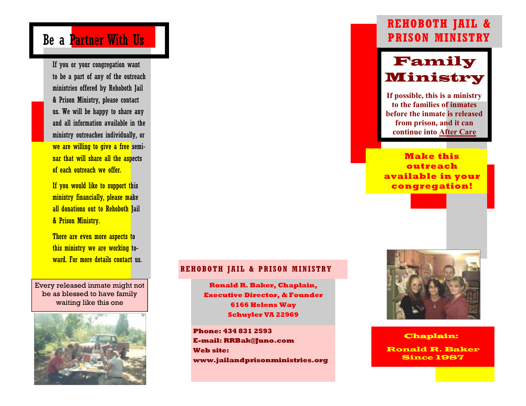# Be a **Partner With Us**

If you or your congregation want to be a part of any of the outreach ministries offered by Rehoboth Jail & Prison Ministry, please contact us. We will be happy to share any and all information available in the ministry outreaches individually, or we are willing to give a free seminar that will share all the aspects of each outreach we offer.

If you would like to support this ministry financially, please make all donations out to Rehoboth Jail & Prison Ministry.

There are even more aspects to this ministry we are working toward. For more details contact us.

Every released inmate might not be as blessed to have family waiting like this one



### **REHOBOTH JAIL & PRISON MINISTRY**

**Ronald R. Baker, Chaplain, Executive Director, & Founder 6166 Helens Way Schuyler VA 22969** 

**Phone: 434 831 2593 E-mail: RRBak@Juno.com Web site: www.jailandprisonministries.org** 

## **REHOBOTH JAIL & PRISON MINISTRY**



 **If possible, this is a ministry to the families of inmates before the inmate is released from prison, and it can continue into After Care** 

**Make this outreach available in your congregation!** 



#### Chaplain:

Ronald R. Baker Since 1987